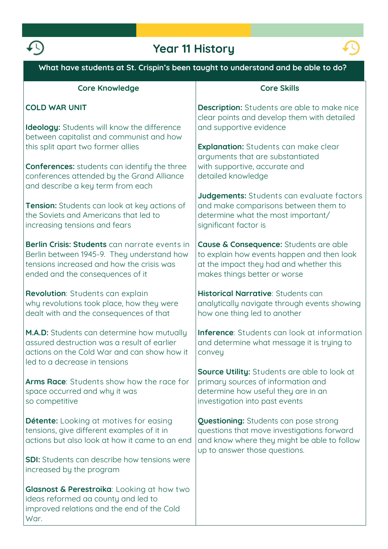

# **Year 11 History**



| What have students at St. Crispin's been taught to understand and be able to do?                                                                                             |                                                                                                                                                                     |
|------------------------------------------------------------------------------------------------------------------------------------------------------------------------------|---------------------------------------------------------------------------------------------------------------------------------------------------------------------|
| <b>Core Knowledge</b>                                                                                                                                                        | <b>Core Skills</b>                                                                                                                                                  |
| <b>COLD WAR UNIT</b>                                                                                                                                                         | <b>Description:</b> Students are able to make nice<br>clear points and develop them with detailed                                                                   |
| <b>Ideology:</b> Students will know the difference<br>between capitalist and communist and how<br>this split apart two former allies                                         | and supportive evidence<br><b>Explanation:</b> Students can make clear                                                                                              |
| <b>Conferences:</b> students can identify the three<br>conferences attended by the Grand Alliance<br>and describe a key term from each                                       | arguments that are substantiated<br>with supportive, accurate and<br>detailed knowledge                                                                             |
| Tension: Students can look at key actions of<br>the Soviets and Americans that led to<br>increasing tensions and fears                                                       | Judgements: Students can evaluate factors<br>and make comparisons between them to<br>determine what the most important/<br>significant factor is                    |
| Berlin Crisis: Students can narrate events in<br>Berlin between 1945-9. They understand how<br>tensions increased and how the crisis was<br>ended and the consequences of it | Cause & Consequence: Students are able<br>to explain how events happen and then look<br>at the impact they had and whether this<br>makes things better or worse     |
| Revolution: Students can explain<br>why revolutions took place, how they were<br>dealt with and the consequences of that                                                     | Historical Narrative: Students can<br>analytically navigate through events showing<br>how one thing led to another                                                  |
| M.A.D: Students can determine how mutually<br>assured destruction was a result of earlier<br>actions on the Cold War and can show how it<br>led to a decrease in tensions    | Inference: Students can look at information<br>and determine what message it is trying to<br>convey                                                                 |
| <b>Arms Race:</b> Students show how the race for<br>space occurred and why it was<br>so competitive                                                                          | <b>Source Utility:</b> Students are able to look at<br>primary sources of information and<br>determine how useful they are in an<br>investigation into past events  |
| <b>Détente:</b> Looking at motives for easing<br>tensions, give different examples of it in<br>actions but also look at how it came to an end                                | Questioning: Students can pose strong<br>questions that move investigations forward<br>and know where they might be able to follow<br>up to answer those questions. |
| <b>SDI:</b> Students can describe how tensions were<br>increased by the program                                                                                              |                                                                                                                                                                     |
| <b>Glasnost &amp; Perestroika:</b> Looking at how two<br>ideas reformed aa county and led to<br>improved relations and the end of the Cold<br>War.                           |                                                                                                                                                                     |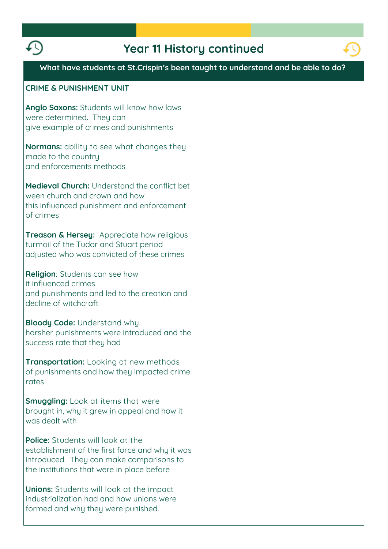



## **What have students at St.Crispin's been taught to understand and be able to do?**

### **CRIME & PUNISHMENT UNIT**

**Anglo Saxons: Students will know how laws were determined. They can give example of crimes and punishments**

**Normans: ability to see what changes they made to the country and enforcements methods**

**Medieval Church: Understand the conflict bet ween church and crown and how this influenced punishment and enforcement of crimes**

**Treason & Hersey: Appreciate how religious turmoil of the Tudor and Stuart period adjusted who was convicted of these crimes**

**Religion: Students can see how it influenced crimes and punishments and led to the creation and decline of witchcraft**

**Bloody Code: Understand why harsher punishments were introduced and the success rate that they had**

**Transportation: Looking at new methods of punishments and how they impacted crime rates**

**Smuggling: Look at items that were brought in, why it grew in appeal and how it was dealt with**

**Police:** Students will look at the **establishment of the first force and why it was introduced. They can make comparisons to the institutions that were in place before**

**Unions: Students will look at the impact industrialization had and how unions were formed and why they were punished.**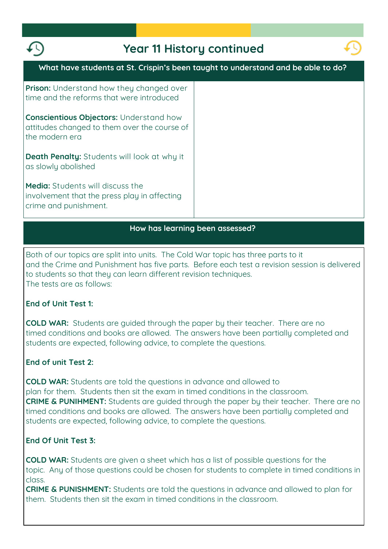



### **How has learning been assessed?**

**Both of our topics are split into units. The Cold War topic has three parts to it and the Crime and Punishment has five parts. Before each test a revision session is delivered to students so that they can learn different revision techniques. The tests are as follows:**

**End of Unit Test 1:**

**COLD WAR: Students are guided through the paper by their teacher. There are no timed conditions and books are allowed. The answers have been partially completed and students are expected, following advice, to complete the questions.**

### **End of unit Test 2:**

**COLD WAR: Students are told the questions in advance and allowed to plan for them. Students then sit the exam in timed conditions in the classroom. CRIME & PUNIHMENT: Students are guided through the paper by their teacher. There are no timed conditions and books are allowed. The answers have been partially completed and students are expected, following advice, to complete the questions.**

### **End Of Unit Test 3:**

**COLD WAR: Students are given a sheet which has a list of possible questions for the topic. Any of those questions could be chosen for students to complete in timed conditions in class.**

**CRIME & PUNISHMENT: Students are told the questions in advance and allowed to plan for them. Students then sit the exam in timed conditions in the classroom.**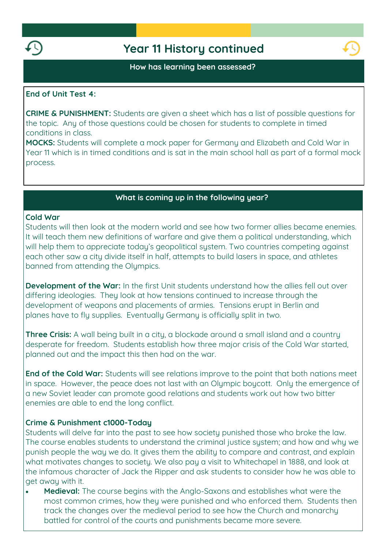

### **How has learning been assessed?**

### **End of Unit Test 4:**

**CRIME & PUNISHMENT: Students are given a sheet which has a list of possible questions for the topic. Any of those questions could be chosen for students to complete in timed conditions in class.**

**MOCKS: Students will complete a mock paper for Germany and Elizabeth and Cold War in Year 11 which is in timed conditions and is sat in the main school hall as part of a formal mock process.**

### **What is coming up in the following year?**

### **Cold War**

**Students will then look at the modern world and see how two former allies became enemies. It will teach them new definitions of warfare and give them a political understanding, which will help them to appreciate today's geopolitical system. Two countries competing against each other saw a city divide itself in half, attempts to build lasers in space, and athletes banned from attending the Olympics.**

**Development of the War: In the first Unit students understand how the allies fell out over differing ideologies. They look at how tensions continued to increase through the development of weapons and placements of armies. Tensions erupt in Berlin and planes have to fly supplies. Eventually Germany is officially split in two.**

**Three Crisis:** A wall being built in a city, a blockade around a small island and a country **desperate for freedom. Students establish how three major crisis of the Cold War started, planned out and the impact this then had on the war.**

**End of the Cold War: Students will see relations improve to the point that both nations meet in space. However, the peace does not last with an Olympic boycott. Only the emergence of a new Soviet leader can promote good relations and students work out how two bitter enemies are able to end the long conflict.**

### **Crime & Punishment c1000-Today**

**Students will delve far into the past to see how society punished those who broke the law. The course enables students to understand the criminal justice system; and how and why we punish people the way we do. It gives them the ability to compare and contrast, and explain what motivates changes to society. We also pay a visit to Whitechapel in 1888, and look at the infamous character of Jack the Ripper and ask students to consider how he was able to get away with it.**

 **Medieval: The course begins with the Anglo-Saxons and establishes what were the most common crimes, how they were punished and who enforced them. Students then track the changes over the medieval period to see how the Church and monarchy battled for control of the courts and punishments became more severe.**